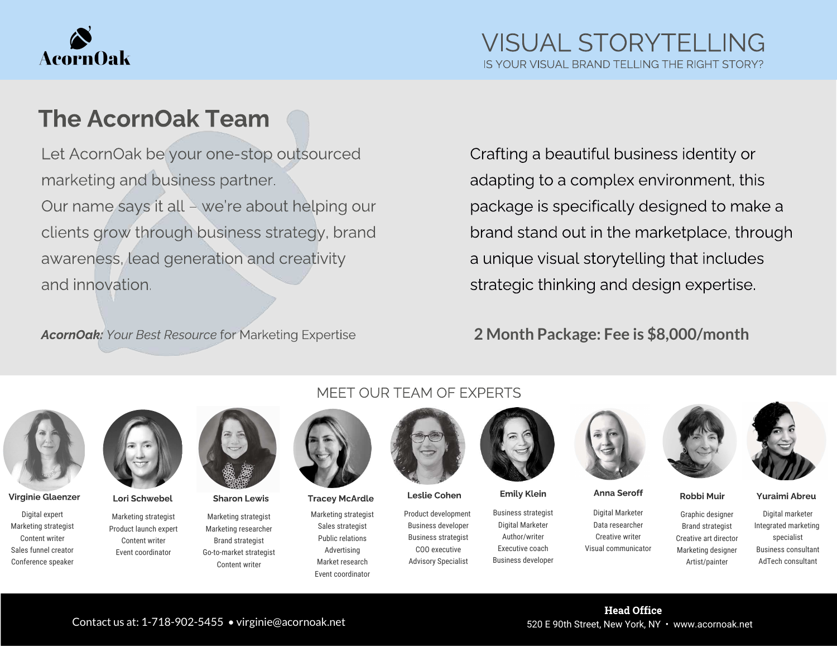

# The AcornOak Team

Let AcornOak be your one-stop outsourced Our name says it all - we're about helping our clients grow through business strategy, brand clients grow through business strategy, brands awareness, lead generation and creativity that and innovation.

AcornOak: Your Best Resource for Marketing Expertise

Crafting a beautiful business identity or package is specifically designed to make a brand stand out in the marketplace, through a unique visual storytelling that includes strategic thinking and design expertise. strategic thinking and design expertise.

### **2 Month Package: Fee is \$8,000/month**



Virginie Glaenzer Lori Schwebel Sharon Lewis Tracey McArdle Leslie Cohen Emily Klein Anna Seroff Robbi Muir Yuraimi Abreu

Digital expert Marketing strategist Content writer Sales funnel creator Conference speaker



Marketing strategist Product launch expert Content writer Event coordinator

Marketing strategist Marketing researcher Brand strategist Go-to-market strategist Content writer

### MEET OUR TEAM OF EXPERTS



Marketing strategist Sales strategist Public relations Advertising Market research Event coordinator



Product development Business developer Business strategist COO executive Advisory Specialist



Business strategist Digital Marketer Author/writer Executive coach Business developer



Digital Marketer Data researcher Creative writer Visual communicator





Graphic designer Brand strategist Creative art director Marketing designer Artist/painter

Digital marketer Integrated marketing specialist Business consultant AdTech consultant

Head Office

#### Contact us at: 1-718-902-5455 • virginie@acornoak.net 520 E 90th Street, New York, NY • www.acornoak.net